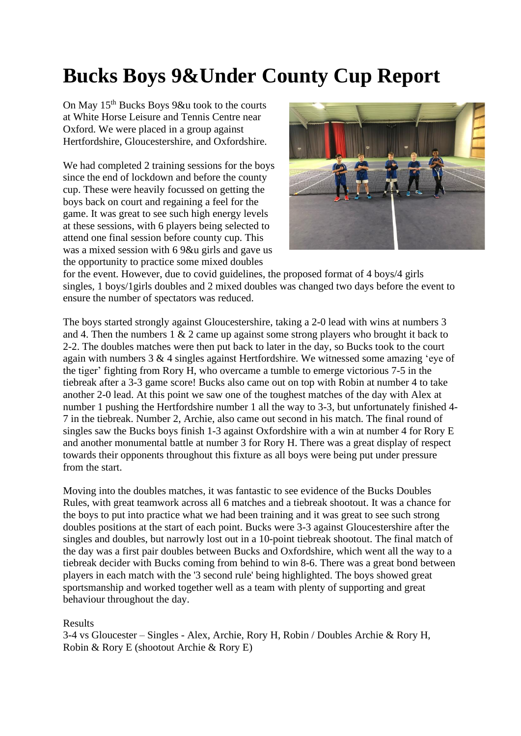## **Bucks Boys 9&Under County Cup Report**

On May 15<sup>th</sup> Bucks Boys 9&u took to the courts at White Horse Leisure and Tennis Centre near Oxford. We were placed in a group against Hertfordshire, Gloucestershire, and Oxfordshire.

We had completed 2 training sessions for the boys since the end of lockdown and before the county cup. These were heavily focussed on getting the boys back on court and regaining a feel for the game. It was great to see such high energy levels at these sessions, with 6 players being selected to attend one final session before county cup. This was a mixed session with 6 9&u girls and gave us the opportunity to practice some mixed doubles



for the event. However, due to covid guidelines, the proposed format of 4 boys/4 girls singles, 1 boys/1girls doubles and 2 mixed doubles was changed two days before the event to ensure the number of spectators was reduced.

The boys started strongly against Gloucestershire, taking a 2-0 lead with wins at numbers 3 and 4. Then the numbers 1 & 2 came up against some strong players who brought it back to 2-2. The doubles matches were then put back to later in the day, so Bucks took to the court again with numbers 3 & 4 singles against Hertfordshire. We witnessed some amazing 'eye of the tiger' fighting from Rory H, who overcame a tumble to emerge victorious 7-5 in the tiebreak after a 3-3 game score! Bucks also came out on top with Robin at number 4 to take another 2-0 lead. At this point we saw one of the toughest matches of the day with Alex at number 1 pushing the Hertfordshire number 1 all the way to 3-3, but unfortunately finished 4- 7 in the tiebreak. Number 2, Archie, also came out second in his match. The final round of singles saw the Bucks boys finish 1-3 against Oxfordshire with a win at number 4 for Rory E and another monumental battle at number 3 for Rory H. There was a great display of respect towards their opponents throughout this fixture as all boys were being put under pressure from the start.

Moving into the doubles matches, it was fantastic to see evidence of the Bucks Doubles Rules, with great teamwork across all 6 matches and a tiebreak shootout. It was a chance for the boys to put into practice what we had been training and it was great to see such strong doubles positions at the start of each point. Bucks were 3-3 against Gloucestershire after the singles and doubles, but narrowly lost out in a 10-point tiebreak shootout. The final match of the day was a first pair doubles between Bucks and Oxfordshire, which went all the way to a tiebreak decider with Bucks coming from behind to win 8-6. There was a great bond between players in each match with the '3 second rule' being highlighted. The boys showed great sportsmanship and worked together well as a team with plenty of supporting and great behaviour throughout the day.

## Results

3-4 vs Gloucester – Singles - Alex, Archie, Rory H, Robin / Doubles Archie & Rory H, Robin & Rory E (shootout Archie & Rory E)